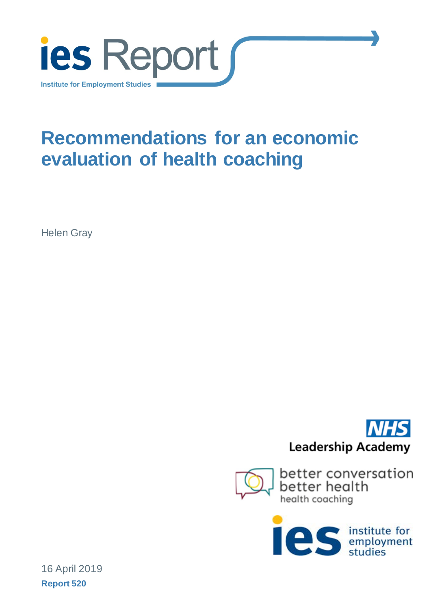

# **Recommendations for an economic evaluation of health coaching**

Helen Gray







16 April 2019 **Report 520**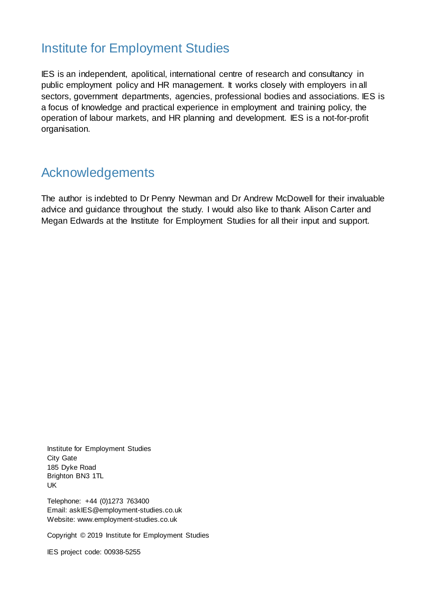### Institute for Employment Studies

IES is an independent, apolitical, international centre of research and consultancy in public employment policy and HR management. It works closely with employers in all sectors, government departments, agencies, professional bodies and associations. IES is a focus of knowledge and practical experience in employment and training policy, the operation of labour markets, and HR planning and development. IES is a not-for-profit organisation.

### Acknowledgements

The author is indebted to Dr Penny Newman and Dr Andrew McDowell for their invaluable advice and guidance throughout the study. I would also like to thank Alison Carter and Megan Edwards at the Institute for Employment Studies for all their input and support.

Institute for Employment Studies City Gate 185 Dyke Road Brighton BN3 1TL UK

Telephone: +44 (0)1273 763400 Email: askIES@employment-studies.co.uk Website: www.employment-studies.co.uk

Copyright © 2019 Institute for Employment Studies

IES project code: 00938-5255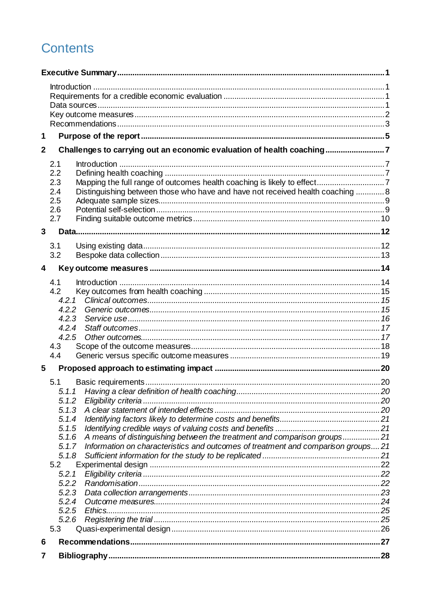## **Contents**

| 1            |                |                                                                                                                                                             |  |
|--------------|----------------|-------------------------------------------------------------------------------------------------------------------------------------------------------------|--|
| $\mathbf{2}$ |                | Challenges to carrying out an economic evaluation of health coaching7                                                                                       |  |
|              | 2.1            |                                                                                                                                                             |  |
|              | 2.2            |                                                                                                                                                             |  |
|              | 2.3            |                                                                                                                                                             |  |
|              | 2.4            | Distinguishing between those who have and have not received health coaching  8                                                                              |  |
|              | 2.5            |                                                                                                                                                             |  |
|              | 2.6<br>2.7     |                                                                                                                                                             |  |
|              |                |                                                                                                                                                             |  |
| 3            |                |                                                                                                                                                             |  |
|              | 3.1            |                                                                                                                                                             |  |
|              | 3.2            |                                                                                                                                                             |  |
| 4            |                |                                                                                                                                                             |  |
|              | 4.1            |                                                                                                                                                             |  |
|              | 4.2            |                                                                                                                                                             |  |
|              | 4.2.1          |                                                                                                                                                             |  |
|              | 4.2.2          |                                                                                                                                                             |  |
|              | 4.2.3<br>4.2.4 |                                                                                                                                                             |  |
|              | 4.2.5          |                                                                                                                                                             |  |
|              | 4.3            |                                                                                                                                                             |  |
|              | 4.4            |                                                                                                                                                             |  |
| 5            |                |                                                                                                                                                             |  |
|              | 5.1            |                                                                                                                                                             |  |
|              |                |                                                                                                                                                             |  |
|              | 5.1.2          |                                                                                                                                                             |  |
|              | 5.1.3          |                                                                                                                                                             |  |
|              | 5.1.4          |                                                                                                                                                             |  |
|              | 5.1.5          |                                                                                                                                                             |  |
|              | 5.1.6<br>5.1.7 | A means of distinguishing between the treatment and comparison groups21<br>Information on characteristics and outcomes of treatment and comparison groups21 |  |
|              | 5.1.8          |                                                                                                                                                             |  |
|              | 5.2            |                                                                                                                                                             |  |
|              | 5.2.1          |                                                                                                                                                             |  |
|              | 5.2.2          |                                                                                                                                                             |  |
|              | 5.2.3          |                                                                                                                                                             |  |
|              | 5.2.4          |                                                                                                                                                             |  |
|              | 5.2.5          | Ethics                                                                                                                                                      |  |
|              | 5.2.6          |                                                                                                                                                             |  |
|              | 5.3            |                                                                                                                                                             |  |
| 6            |                |                                                                                                                                                             |  |
| 7            |                |                                                                                                                                                             |  |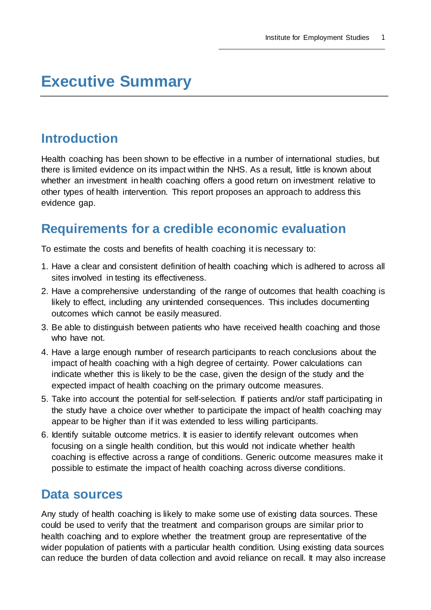## <span id="page-4-0"></span>**Executive Summary**

### <span id="page-4-1"></span>**Introduction**

Health coaching has been shown to be effective in a number of international studies, but there is limited evidence on its impact within the NHS. As a result, little is known about whether an investment in health coaching offers a good return on investment relative to other types of health intervention. This report proposes an approach to address this evidence gap.

### <span id="page-4-2"></span>**Requirements for a credible economic evaluation**

To estimate the costs and benefits of health coaching it is necessary to:

- 1. Have a clear and consistent definition of health coaching which is adhered to across all sites involved in testing its effectiveness.
- 2. Have a comprehensive understanding of the range of outcomes that health coaching is likely to effect, including any unintended consequences. This includes documenting outcomes which cannot be easily measured.
- 3. Be able to distinguish between patients who have received health coaching and those who have not.
- 4. Have a large enough number of research participants to reach conclusions about the impact of health coaching with a high degree of certainty. Power calculations can indicate whether this is likely to be the case, given the design of the study and the expected impact of health coaching on the primary outcome measures.
- 5. Take into account the potential for self-selection. If patients and/or staff participating in the study have a choice over whether to participate the impact of health coaching may appear to be higher than if it was extended to less willing participants.
- 6. Identify suitable outcome metrics. It is easier to identify relevant outcomes when focusing on a single health condition, but this would not indicate whether health coaching is effective across a range of conditions. Generic outcome measures make it possible to estimate the impact of health coaching across diverse conditions.

### <span id="page-4-3"></span>**Data sources**

Any study of health coaching is likely to make some use of existing data sources. These could be used to verify that the treatment and comparison groups are similar prior to health coaching and to explore whether the treatment group are representative of the wider population of patients with a particular health condition. Using existing data sources can reduce the burden of data collection and avoid reliance on recall. It may also increase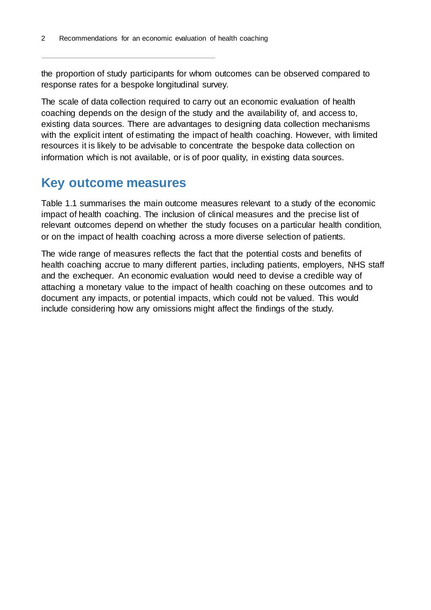the proportion of study participants for whom outcomes can be observed compared to response rates for a bespoke longitudinal survey.

The scale of data collection required to carry out an economic evaluation of health coaching depends on the design of the study and the availability of, and access to, existing data sources. There are advantages to designing data collection mechanisms with the explicit intent of estimating the impact of health coaching. However, with limited resources it is likely to be advisable to concentrate the bespoke data collection on information which is not available, or is of poor quality, in existing data sources.

#### <span id="page-5-0"></span>**Key outcome measures**

[Table 1.1](#page-6-1) summarises the main outcome measures relevant to a study of the economic impact of health coaching. The inclusion of clinical measures and the precise list of relevant outcomes depend on whether the study focuses on a particular health condition, or on the impact of health coaching across a more diverse selection of patients.

The wide range of measures reflects the fact that the potential costs and benefits of health coaching accrue to many different parties, including patients, employers, NHS staff and the exchequer. An economic evaluation would need to devise a credible way of attaching a monetary value to the impact of health coaching on these outcomes and to document any impacts, or potential impacts, which could not be valued. This would include considering how any omissions might affect the findings of the study.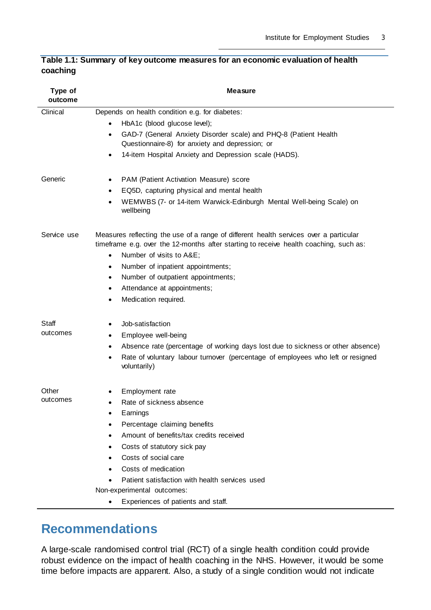| Type of<br>outcome | <b>Measure</b>                                                                                                                                                                                                                                                                                                                                             |
|--------------------|------------------------------------------------------------------------------------------------------------------------------------------------------------------------------------------------------------------------------------------------------------------------------------------------------------------------------------------------------------|
| Clinical           | Depends on health condition e.g. for diabetes:                                                                                                                                                                                                                                                                                                             |
|                    | HbA1c (blood glucose level);                                                                                                                                                                                                                                                                                                                               |
|                    | GAD-7 (General Anxiety Disorder scale) and PHQ-8 (Patient Health<br>$\bullet$                                                                                                                                                                                                                                                                              |
|                    | Questionnaire-8) for anxiety and depression; or                                                                                                                                                                                                                                                                                                            |
|                    | 14-item Hospital Anxiety and Depression scale (HADS).<br>$\bullet$                                                                                                                                                                                                                                                                                         |
| Generic            | PAM (Patient Activation Measure) score<br>$\bullet$                                                                                                                                                                                                                                                                                                        |
|                    | EQ5D, capturing physical and mental health<br>$\bullet$                                                                                                                                                                                                                                                                                                    |
|                    | WEMWBS (7- or 14-item Warwick-Edinburgh Mental Well-being Scale) on<br>wellbeing                                                                                                                                                                                                                                                                           |
| Service use        | Measures reflecting the use of a range of different health services over a particular<br>timeframe e.g. over the 12-months after starting to receive health coaching, such as:<br>Number of visits to A&E<br>$\bullet$<br>Number of inpatient appointments;<br>$\bullet$<br>Number of outpatient appointments;<br>$\bullet$<br>Attendance at appointments; |
|                    | Medication required.                                                                                                                                                                                                                                                                                                                                       |
|                    |                                                                                                                                                                                                                                                                                                                                                            |
| Staff              | Job-satisfaction                                                                                                                                                                                                                                                                                                                                           |
| outcomes           | Employee well-being                                                                                                                                                                                                                                                                                                                                        |
|                    | Absence rate (percentage of working days lost due to sickness or other absence)                                                                                                                                                                                                                                                                            |
|                    | Rate of voluntary labour turnover (percentage of employees who left or resigned<br>voluntarily)                                                                                                                                                                                                                                                            |
| Other              | Employment rate                                                                                                                                                                                                                                                                                                                                            |
| outcomes           | Rate of sickness absence                                                                                                                                                                                                                                                                                                                                   |
|                    | Earnings                                                                                                                                                                                                                                                                                                                                                   |
|                    | Percentage claiming benefits                                                                                                                                                                                                                                                                                                                               |
|                    | Amount of benefits/tax credits received                                                                                                                                                                                                                                                                                                                    |
|                    | Costs of statutory sick pay                                                                                                                                                                                                                                                                                                                                |
|                    | Costs of social care                                                                                                                                                                                                                                                                                                                                       |
|                    | Costs of medication                                                                                                                                                                                                                                                                                                                                        |
|                    | Patient satisfaction with health services used                                                                                                                                                                                                                                                                                                             |
|                    | Non-experimental outcomes:                                                                                                                                                                                                                                                                                                                                 |
|                    | Experiences of patients and staff.                                                                                                                                                                                                                                                                                                                         |

#### <span id="page-6-1"></span>**Table 1.1: Summary of key outcome measures for an economic evaluation of health coaching**

### <span id="page-6-0"></span>**Recommendations**

A large-scale randomised control trial (RCT) of a single health condition could provide robust evidence on the impact of health coaching in the NHS. However, it would be some time before impacts are apparent. Also, a study of a single condition would not indicate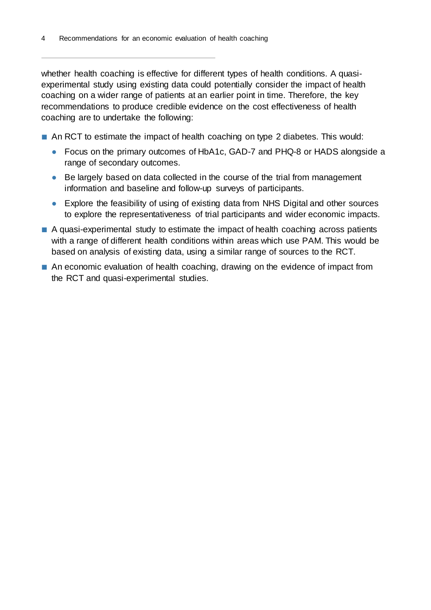whether health coaching is effective for different types of health conditions. A quasiexperimental study using existing data could potentially consider the impact of health coaching on a wider range of patients at an earlier point in time. Therefore, the key recommendations to produce credible evidence on the cost effectiveness of health coaching are to undertake the following:

- An RCT to estimate the impact of health coaching on type 2 diabetes. This would:
	- **●** Focus on the primary outcomes of HbA1c, GAD-7 and PHQ-8 or HADS alongside a range of secondary outcomes.
	- **●** Be largely based on data collected in the course of the trial from management information and baseline and follow-up surveys of participants.
	- **●** Explore the feasibility of using of existing data from NHS Digital and other sources to explore the representativeness of trial participants and wider economic impacts.
- A quasi-experimental study to estimate the impact of health coaching across patients with a range of different health conditions within areas which use PAM. This would be based on analysis of existing data, using a similar range of sources to the RCT.
- An economic evaluation of health coaching, drawing on the evidence of impact from the RCT and quasi-experimental studies.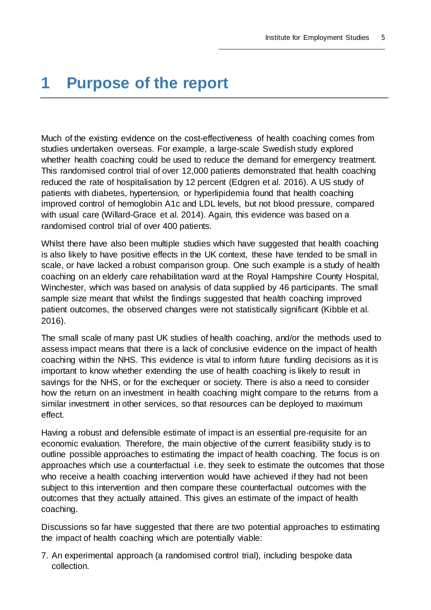## <span id="page-8-0"></span>**1 Purpose of the report**

Much of the existing evidence on the cost-effectiveness of health coaching comes from studies undertaken overseas. For example, a large-scale Swedish study explored whether health coaching could be used to reduce the demand for emergency treatment. This randomised control trial of over 12,000 patients demonstrated that health coaching reduced the rate of hospitalisation by 12 percent (Edgren et al. 2016). A US study of patients with diabetes, hypertension, or hyperlipidemia found that health coaching improved control of hemoglobin A1c and LDL levels, but not blood pressure, compared with usual care (Willard-Grace et al. 2014). Again, this evidence was based on a randomised control trial of over 400 patients.

Whilst there have also been multiple studies which have suggested that health coaching is also likely to have positive effects in the UK context, these have tended to be small in scale, or have lacked a robust comparison group. One such example is a study of health coaching on an elderly care rehabilitation ward at the Royal Hampshire County Hospital, Winchester, which was based on analysis of data supplied by 46 participants. The small sample size meant that whilst the findings suggested that health coaching improved patient outcomes, the observed changes were not statistically significant (Kibble et al. 2016).

The small scale of many past UK studies of health coaching, and/or the methods used to assess impact means that there is a lack of conclusive evidence on the impact of health coaching within the NHS. This evidence is vital to inform future funding decisions as it is important to know whether extending the use of health coaching is likely to result in savings for the NHS, or for the exchequer or society. There is also a need to consider how the return on an investment in health coaching might compare to the returns from a similar investment in other services, so that resources can be deployed to maximum effect.

Having a robust and defensible estimate of impact is an essential pre-requisite for an economic evaluation. Therefore, the main objective of the current feasibility study is to outline possible approaches to estimating the impact of health coaching. The focus is on approaches which use a counterfactual i.e. they seek to estimate the outcomes that those who receive a health coaching intervention would have achieved if they had not been subject to this intervention and then compare these counterfactual outcomes with the outcomes that they actually attained. This gives an estimate of the impact of health coaching.

Discussions so far have suggested that there are two potential approaches to estimating the impact of health coaching which are potentially viable:

7. An experimental approach (a randomised control trial), including bespoke data collection.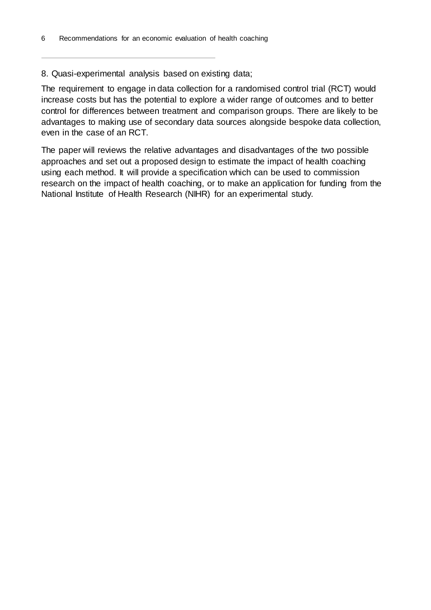#### 8. Quasi-experimental analysis based on existing data;

The requirement to engage in data collection for a randomised control trial (RCT) would increase costs but has the potential to explore a wider range of outcomes and to better control for differences between treatment and comparison groups. There are likely to be advantages to making use of secondary data sources alongside bespoke data collection, even in the case of an RCT.

The paper will reviews the relative advantages and disadvantages of the two possible approaches and set out a proposed design to estimate the impact of health coaching using each method. It will provide a specification which can be used to commission research on the impact of health coaching, or to make an application for funding from the National Institute of Health Research (NIHR) for an experimental study.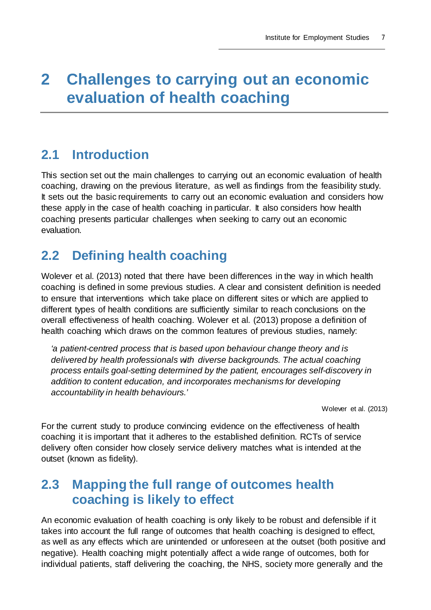## <span id="page-10-0"></span>**2 Challenges to carrying out an economic evaluation of health coaching**

### <span id="page-10-1"></span>**2.1 Introduction**

This section set out the main challenges to carrying out an economic evaluation of health coaching, drawing on the previous literature, as well as findings from the feasibility study. It sets out the basic requirements to carry out an economic evaluation and considers how these apply in the case of health coaching in particular. It also considers how health coaching presents particular challenges when seeking to carry out an economic evaluation.

## <span id="page-10-2"></span>**2.2 Defining health coaching**

Wolever et al. (2013) noted that there have been differences in the way in which health coaching is defined in some previous studies. A clear and consistent definition is needed to ensure that interventions which take place on different sites or which are applied to different types of health conditions are sufficiently similar to reach conclusions on the overall effectiveness of health coaching. Wolever et al. (2013) propose a definition of health coaching which draws on the common features of previous studies, namely:

*'a patient-centred process that is based upon behaviour change theory and is delivered by health professionals with diverse backgrounds. The actual coaching process entails goal-setting determined by the patient, encourages self-discovery in addition to content education, and incorporates mechanisms for developing accountability in health behaviours.'*

Wolever et al. (2013)

For the current study to produce convincing evidence on the effectiveness of health coaching it is important that it adheres to the established definition. RCTs of service delivery often consider how closely service delivery matches what is intended at the outset (known as fidelity).

### <span id="page-10-3"></span>**2.3 Mapping the full range of outcomes health coaching is likely to effect**

An economic evaluation of health coaching is only likely to be robust and defensible if it takes into account the full range of outcomes that health coaching is designed to effect, as well as any effects which are unintended or unforeseen at the outset (both positive and negative). Health coaching might potentially affect a wide range of outcomes, both for individual patients, staff delivering the coaching, the NHS, society more generally and the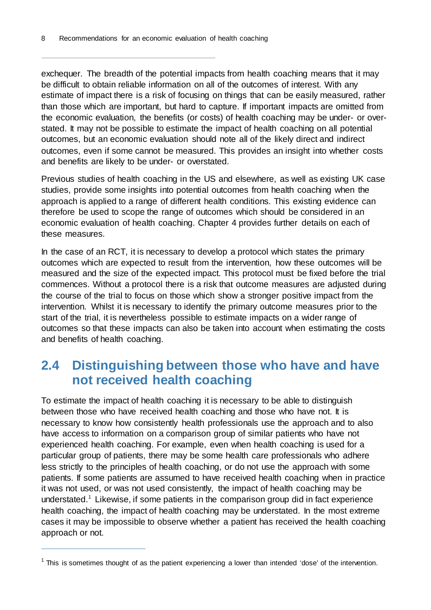exchequer. The breadth of the potential impacts from health coaching means that it may be difficult to obtain reliable information on all of the outcomes of interest. With any estimate of impact there is a risk of focusing on things that can be easily measured, rather than those which are important, but hard to capture. If important impacts are omitted from the economic evaluation, the benefits (or costs) of health coaching may be under- or overstated. It may not be possible to estimate the impact of health coaching on all potential outcomes, but an economic evaluation should note all of the likely direct and indirect outcomes, even if some cannot be measured. This provides an insight into whether costs and benefits are likely to be under- or overstated.

Previous studies of health coaching in the US and elsewhere, as well as existing UK case studies, provide some insights into potential outcomes from health coaching when the approach is applied to a range of different health conditions. This existing evidence can therefore be used to scope the range of outcomes which should be considered in an economic evaluation of health coaching. Chapter [4](#page-17-0) provides further details on each of these measures.

In the case of an RCT, it is necessary to develop a protocol which states the primary outcomes which are expected to result from the intervention, how these outcomes will be measured and the size of the expected impact. This protocol must be fixed before the trial commences. Without a protocol there is a risk that outcome measures are adjusted during the course of the trial to focus on those which show a stronger positive impact from the intervention. Whilst it is necessary to identify the primary outcome measures prior to the start of the trial, it is nevertheless possible to estimate impacts on a wider range of outcomes so that these impacts can also be taken into account when estimating the costs and benefits of health coaching.

### <span id="page-11-0"></span>**2.4 Distinguishing between those who have and have not received health coaching**

To estimate the impact of health coaching it is necessary to be able to distinguish between those who have received health coaching and those who have not. It is necessary to know how consistently health professionals use the approach and to also have access to information on a comparison group of similar patients who have not experienced health coaching. For example, even when health coaching is used for a particular group of patients, there may be some health care professionals who adhere less strictly to the principles of health coaching, or do not use the approach with some patients. If some patients are assumed to have received health coaching when in practice it was not used, or was not used consistently, the impact of health coaching may be understated.<sup>[1](#page-11-1)</sup> Likewise, if some patients in the comparison group did in fact experience health coaching, the impact of health coaching may be understated. In the most extreme cases it may be impossible to observe whether a patient has received the health coaching approach or not.

ł

<span id="page-11-1"></span> $1$  This is sometimes thought of as the patient experiencing a lower than intended 'dose' of the intervention.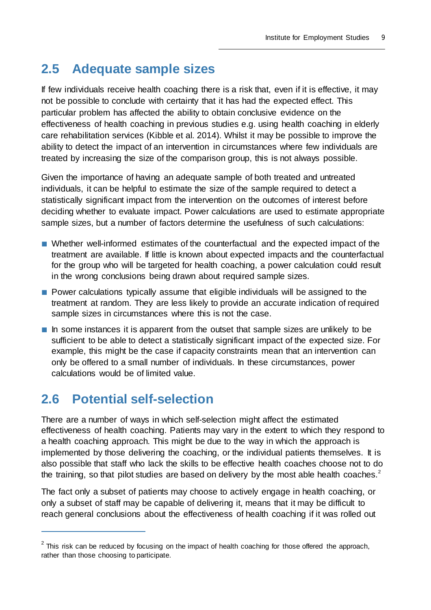### <span id="page-12-0"></span>**2.5 Adequate sample sizes**

If few individuals receive health coaching there is a risk that, even if it is effective, it may not be possible to conclude with certainty that it has had the expected effect. This particular problem has affected the ability to obtain conclusive evidence on the effectiveness of health coaching in previous studies e.g. using health coaching in elderly care rehabilitation services (Kibble et al. 2014). Whilst it may be possible to improve the ability to detect the impact of an intervention in circumstances where few individuals are treated by increasing the size of the comparison group, this is not always possible.

Given the importance of having an adequate sample of both treated and untreated individuals, it can be helpful to estimate the size of the sample required to detect a statistically significant impact from the intervention on the outcomes of interest before deciding whether to evaluate impact. Power calculations are used to estimate appropriate sample sizes, but a number of factors determine the usefulness of such calculations:

- Whether well-informed estimates of the counterfactual and the expected impact of the treatment are available. If little is known about expected impacts and the counterfactual for the group who will be targeted for health coaching, a power calculation could result in the wrong conclusions being drawn about required sample sizes.
- Power calculations typically assume that eligible individuals will be assigned to the treatment at random. They are less likely to provide an accurate indication of required sample sizes in circumstances where this is not the case.
- In some instances it is apparent from the outset that sample sizes are unlikely to be sufficient to be able to detect a statistically significant impact of the expected size. For example, this might be the case if capacity constraints mean that an intervention can only be offered to a small number of individuals. In these circumstances, power calculations would be of limited value.

### <span id="page-12-1"></span>**2.6 Potential self-selection**

 $\overline{a}$ 

There are a number of ways in which self-selection might affect the estimated effectiveness of health coaching. Patients may vary in the extent to which they respond to a health coaching approach. This might be due to the way in which the approach is implemented by those delivering the coaching, or the individual patients themselves. It is also possible that staff who lack the skills to be effective health coaches choose not to do the training, so that pilot studies are based on delivery by the most able health coaches.<sup>[2](#page-12-2)</sup>

The fact only a subset of patients may choose to actively engage in health coaching, or only a subset of staff may be capable of delivering it, means that it may be difficult to reach general conclusions about the effectiveness of health coaching if it was rolled out

<span id="page-12-2"></span> $2$  This risk can be reduced by focusing on the impact of health coaching for those offered the approach, rather than those choosing to participate.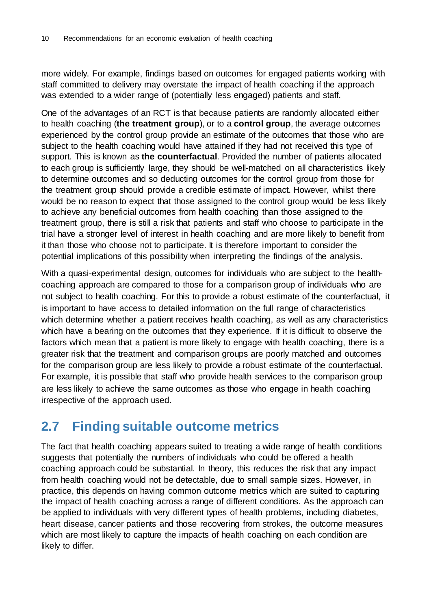more widely. For example, findings based on outcomes for engaged patients working with staff committed to delivery may overstate the impact of health coaching if the approach was extended to a wider range of (potentially less engaged) patients and staff.

One of the advantages of an RCT is that because patients are randomly allocated either to health coaching (**the treatment group**), or to a **control group**, the average outcomes experienced by the control group provide an estimate of the outcomes that those who are subject to the health coaching would have attained if they had not received this type of support. This is known as **the counterfactual**. Provided the number of patients allocated to each group is sufficiently large, they should be well-matched on all characteristics likely to determine outcomes and so deducting outcomes for the control group from those for the treatment group should provide a credible estimate of impact. However, whilst there would be no reason to expect that those assigned to the control group would be less likely to achieve any beneficial outcomes from health coaching than those assigned to the treatment group, there is still a risk that patients and staff who choose to participate in the trial have a stronger level of interest in health coaching and are more likely to benefit from it than those who choose not to participate. It is therefore important to consider the potential implications of this possibility when interpreting the findings of the analysis.

With a quasi-experimental design, outcomes for individuals who are subject to the healthcoaching approach are compared to those for a comparison group of individuals who are not subject to health coaching. For this to provide a robust estimate of the counterfactual, it is important to have access to detailed information on the full range of characteristics which determine whether a patient receives health coaching, as well as any characteristics which have a bearing on the outcomes that they experience. If it is difficult to observe the factors which mean that a patient is more likely to engage with health coaching, there is a greater risk that the treatment and comparison groups are poorly matched and outcomes for the comparison group are less likely to provide a robust estimate of the counterfactual. For example, it is possible that staff who provide health services to the comparison group are less likely to achieve the same outcomes as those who engage in health coaching irrespective of the approach used.

### <span id="page-13-0"></span>**2.7 Finding suitable outcome metrics**

The fact that health coaching appears suited to treating a wide range of health conditions suggests that potentially the numbers of individuals who could be offered a health coaching approach could be substantial. In theory, this reduces the risk that any impact from health coaching would not be detectable, due to small sample sizes. However, in practice, this depends on having common outcome metrics which are suited to capturing the impact of health coaching across a range of different conditions. As the approach can be applied to individuals with very different types of health problems, including diabetes, heart disease, cancer patients and those recovering from strokes, the outcome measures which are most likely to capture the impacts of health coaching on each condition are likely to differ.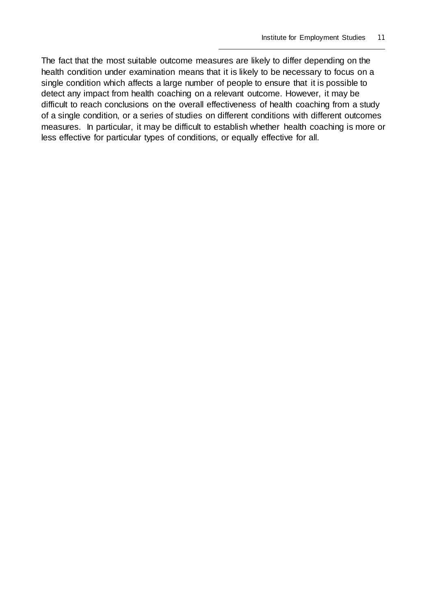The fact that the most suitable outcome measures are likely to differ depending on the health condition under examination means that it is likely to be necessary to focus on a single condition which affects a large number of people to ensure that it is possible to detect any impact from health coaching on a relevant outcome. However, it may be difficult to reach conclusions on the overall effectiveness of health coaching from a study of a single condition, or a series of studies on different conditions with different outcomes measures. In particular, it may be difficult to establish whether health coaching is more or less effective for particular types of conditions, or equally effective for all.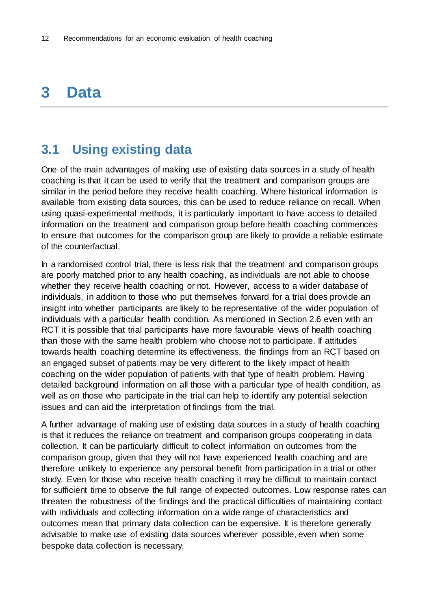## <span id="page-15-0"></span>**3 Data**

### <span id="page-15-1"></span>**3.1 Using existing data**

One of the main advantages of making use of existing data sources in a study of health coaching is that it can be used to verify that the treatment and comparison groups are similar in the period before they receive health coaching. Where historical information is available from existing data sources, this can be used to reduce reliance on recall. When using quasi-experimental methods, it is particularly important to have access to detailed information on the treatment and comparison group before health coaching commences to ensure that outcomes for the comparison group are likely to provide a reliable estimate of the counterfactual.

In a randomised control trial, there is less risk that the treatment and comparison groups are poorly matched prior to any health coaching, as individuals are not able to choose whether they receive health coaching or not. However, access to a wider database of individuals, in addition to those who put themselves forward for a trial does provide an insight into whether participants are likely to be representative of the wider population of individuals with a particular health condition. As mentioned in Section [2.6](#page-12-1) even with an RCT it is possible that trial participants have more favourable views of health coaching than those with the same health problem who choose not to participate. If attitudes towards health coaching determine its effectiveness, the findings from an RCT based on an engaged subset of patients may be very different to the likely impact of health coaching on the wider population of patients with that type of health problem. Having detailed background information on all those with a particular type of health condition, as well as on those who participate in the trial can help to identify any potential selection issues and can aid the interpretation of findings from the trial.

A further advantage of making use of existing data sources in a study of health coaching is that it reduces the reliance on treatment and comparison groups cooperating in data collection. It can be particularly difficult to collect information on outcomes from the comparison group, given that they will not have experienced health coaching and are therefore unlikely to experience any personal benefit from participation in a trial or other study. Even for those who receive health coaching it may be difficult to maintain contact for sufficient time to observe the full range of expected outcomes. Low response rates can threaten the robustness of the findings and the practical difficulties of maintaining contact with individuals and collecting information on a wide range of characteristics and outcomes mean that primary data collection can be expensive. It is therefore generally advisable to make use of existing data sources wherever possible, even when some bespoke data collection is necessary.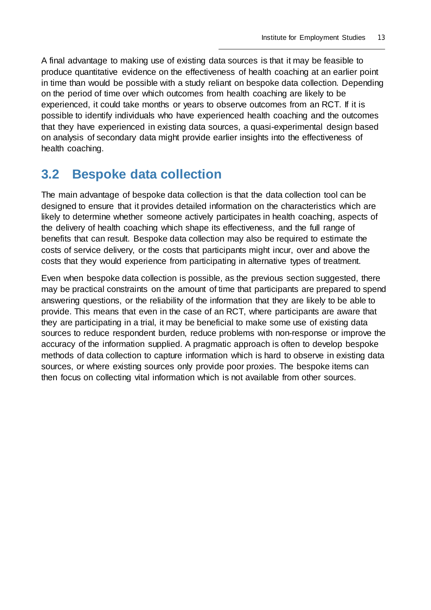A final advantage to making use of existing data sources is that it may be feasible to produce quantitative evidence on the effectiveness of health coaching at an earlier point in time than would be possible with a study reliant on bespoke data collection. Depending on the period of time over which outcomes from health coaching are likely to be experienced, it could take months or years to observe outcomes from an RCT. If it is possible to identify individuals who have experienced health coaching and the outcomes that they have experienced in existing data sources, a quasi-experimental design based on analysis of secondary data might provide earlier insights into the effectiveness of health coaching.

### <span id="page-16-0"></span>**3.2 Bespoke data collection**

The main advantage of bespoke data collection is that the data collection tool can be designed to ensure that it provides detailed information on the characteristics which are likely to determine whether someone actively participates in health coaching, aspects of the delivery of health coaching which shape its effectiveness, and the full range of benefits that can result. Bespoke data collection may also be required to estimate the costs of service delivery, or the costs that participants might incur, over and above the costs that they would experience from participating in alternative types of treatment.

Even when bespoke data collection is possible, as the previous section suggested, there may be practical constraints on the amount of time that participants are prepared to spend answering questions, or the reliability of the information that they are likely to be able to provide. This means that even in the case of an RCT, where participants are aware that they are participating in a trial, it may be beneficial to make some use of existing data sources to reduce respondent burden, reduce problems with non-response or improve the accuracy of the information supplied. A pragmatic approach is often to develop bespoke methods of data collection to capture information which is hard to observe in existing data sources, or where existing sources only provide poor proxies. The bespoke items can then focus on collecting vital information which is not available from other sources.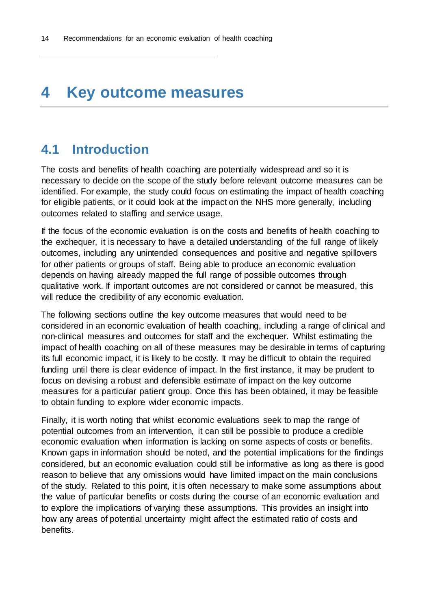## <span id="page-17-0"></span>**4 Key outcome measures**

### <span id="page-17-1"></span>**4.1 Introduction**

The costs and benefits of health coaching are potentially widespread and so it is necessary to decide on the scope of the study before relevant outcome measures can be identified. For example, the study could focus on estimating the impact of health coaching for eligible patients, or it could look at the impact on the NHS more generally, including outcomes related to staffing and service usage.

If the focus of the economic evaluation is on the costs and benefits of health coaching to the exchequer, it is necessary to have a detailed understanding of the full range of likely outcomes, including any unintended consequences and positive and negative spillovers for other patients or groups of staff. Being able to produce an economic evaluation depends on having already mapped the full range of possible outcomes through qualitative work. If important outcomes are not considered or cannot be measured, this will reduce the credibility of any economic evaluation.

The following sections outline the key outcome measures that would need to be considered in an economic evaluation of health coaching, including a range of clinical and non-clinical measures and outcomes for staff and the exchequer. Whilst estimating the impact of health coaching on all of these measures may be desirable in terms of capturing its full economic impact, it is likely to be costly. It may be difficult to obtain the required funding until there is clear evidence of impact. In the first instance, it may be prudent to focus on devising a robust and defensible estimate of impact on the key outcome measures for a particular patient group. Once this has been obtained, it may be feasible to obtain funding to explore wider economic impacts.

Finally, it is worth noting that whilst economic evaluations seek to map the range of potential outcomes from an intervention, it can still be possible to produce a credible economic evaluation when information is lacking on some aspects of costs or benefits. Known gaps in information should be noted, and the potential implications for the findings considered, but an economic evaluation could still be informative as long as there is good reason to believe that any omissions would have limited impact on the main conclusions of the study. Related to this point, it is often necessary to make some assumptions about the value of particular benefits or costs during the course of an economic evaluation and to explore the implications of varying these assumptions. This provides an insight into how any areas of potential uncertainty might affect the estimated ratio of costs and benefits.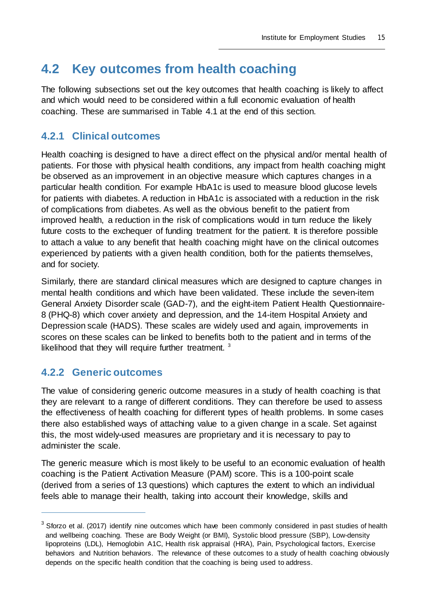### <span id="page-18-0"></span>**4.2 Key outcomes from health coaching**

The following subsections set out the key outcomes that health coaching is likely to affect and which would need to be considered within a full economic evaluation of health coaching. These are summarised in [Table 4.1](#page-20-2) at the end of this section.

#### <span id="page-18-1"></span>**4.2.1 Clinical outcomes**

Health coaching is designed to have a direct effect on the physical and/or mental health of patients. For those with physical health conditions, any impact from health coaching might be observed as an improvement in an objective measure which captures changes in a particular health condition. For example HbA1c is used to measure blood glucose levels for patients with diabetes. A reduction in HbA1c is associated with a reduction in the risk of complications from diabetes. As well as the obvious benefit to the patient from improved health, a reduction in the risk of complications would in turn reduce the likely future costs to the exchequer of funding treatment for the patient. It is therefore possible to attach a value to any benefit that health coaching might have on the clinical outcomes experienced by patients with a given health condition, both for the patients themselves, and for society.

Similarly, there are standard clinical measures which are designed to capture changes in mental health conditions and which have been validated. These include the seven-item General Anxiety Disorder scale (GAD-7), and the eight-item Patient Health Questionnaire-8 (PHQ-8) which cover anxiety and depression, and the 14-item Hospital Anxiety and Depression scale (HADS). These scales are widely used and again, improvements in scores on these scales can be linked to benefits both to the patient and in terms of the likelihood that they will require further treatment.  $3$ 

#### <span id="page-18-2"></span>**4.2.2 Generic outcomes**

 $\overline{a}$ 

The value of considering generic outcome measures in a study of health coaching is that they are relevant to a range of different conditions. They can therefore be used to assess the effectiveness of health coaching for different types of health problems. In some cases there also established ways of attaching value to a given change in a scale. Set against this, the most widely-used measures are proprietary and it is necessary to pay to administer the scale.

The generic measure which is most likely to be useful to an economic evaluation of health coaching is the Patient Activation Measure (PAM) score. This is a 100-point scale (derived from a series of 13 questions) which captures the extent to which an individual feels able to manage their health, taking into account their knowledge, skills and

<span id="page-18-3"></span> $3$  Sforzo et al. (2017) identify nine outcomes which have been commonly considered in past studies of health and wellbeing coaching. These are Body Weight (or BMI), Systolic blood pressure (SBP), Low-density lipoproteins (LDL), Hemoglobin A1C, Health risk appraisal (HRA), Pain, Psychological factors, Exercise behaviors and Nutrition behaviors. The relevance of these outcomes to a study of health coaching obviously depends on the specific health condition that the coaching is being used to address.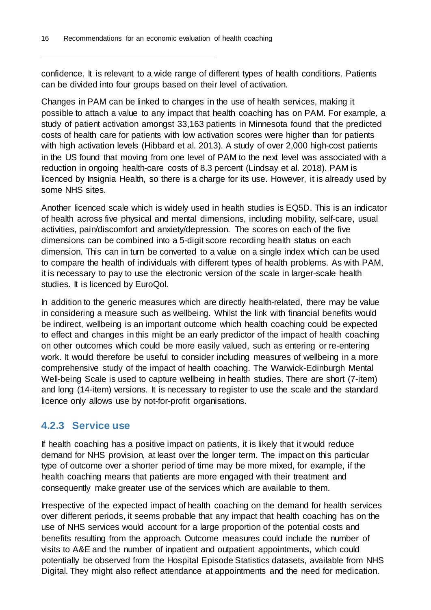confidence. It is relevant to a wide range of different types of health conditions. Patients can be divided into four groups based on their level of activation.

Changes in PAM can be linked to changes in the use of health services, making it possible to attach a value to any impact that health coaching has on PAM. For example, a study of patient activation amongst 33,163 patients in Minnesota found that the predicted costs of health care for patients with low activation scores were higher than for patients with high activation levels (Hibbard et al. 2013). A study of over 2,000 high-cost patients in the US found that moving from one level of PAM to the next level was associated with a reduction in ongoing health-care costs of 8.3 percent (Lindsay et al. 2018). PAM is licenced by Insignia Health, so there is a charge for its use. However, it is already used by some NHS sites.

Another licenced scale which is widely used in health studies is EQ5D. This is an indicator of health across five physical and mental dimensions, including mobility, self-care, usual activities, pain/discomfort and anxiety/depression. The scores on each of the five dimensions can be combined into a 5-digit score recording health status on each dimension. This can in turn be converted to a value on a single index which can be used to compare the health of individuals with different types of health problems. As with PAM, it is necessary to pay to use the electronic version of the scale in larger-scale health studies. It is licenced by EuroQol.

In addition to the generic measures which are directly health-related, there may be value in considering a measure such as wellbeing. Whilst the link with financial benefits would be indirect, wellbeing is an important outcome which health coaching could be expected to effect and changes in this might be an early predictor of the impact of health coaching on other outcomes which could be more easily valued, such as entering or re-entering work. It would therefore be useful to consider including measures of wellbeing in a more comprehensive study of the impact of health coaching. The Warwick-Edinburgh Mental Well-being Scale is used to capture wellbeing in health studies. There are short (7-item) and long (14-item) versions. It is necessary to register to use the scale and the standard licence only allows use by not-for-profit organisations.

#### <span id="page-19-0"></span>**4.2.3 Service use**

If health coaching has a positive impact on patients, it is likely that it would reduce demand for NHS provision, at least over the longer term. The impact on this particular type of outcome over a shorter period of time may be more mixed, for example, if the health coaching means that patients are more engaged with their treatment and consequently make greater use of the services which are available to them.

Irrespective of the expected impact of health coaching on the demand for health services over different periods, it seems probable that any impact that health coaching has on the use of NHS services would account for a large proportion of the potential costs and benefits resulting from the approach. Outcome measures could include the number of visits to A&E and the number of inpatient and outpatient appointments, which could potentially be observed from the Hospital Episode Statistics datasets, available from NHS Digital. They might also reflect attendance at appointments and the need for medication.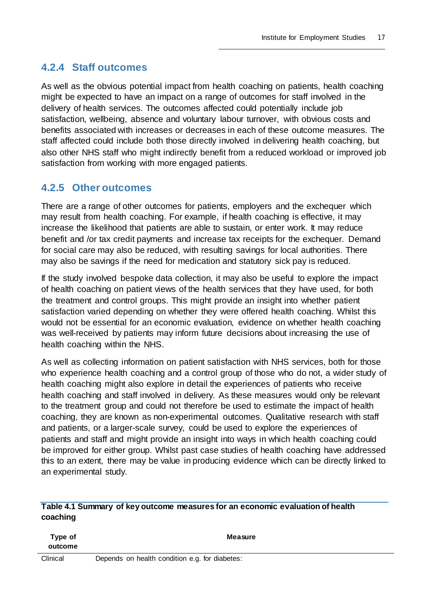#### <span id="page-20-0"></span>**4.2.4 Staff outcomes**

As well as the obvious potential impact from health coaching on patients, health coaching might be expected to have an impact on a range of outcomes for staff involved in the delivery of health services. The outcomes affected could potentially include job satisfaction, wellbeing, absence and voluntary labour turnover, with obvious costs and benefits associated with increases or decreases in each of these outcome measures. The staff affected could include both those directly involved in delivering health coaching, but also other NHS staff who might indirectly benefit from a reduced workload or improved job satisfaction from working with more engaged patients.

#### <span id="page-20-1"></span>**4.2.5 Other outcomes**

There are a range of other outcomes for patients, employers and the exchequer which may result from health coaching. For example, if health coaching is effective, it may increase the likelihood that patients are able to sustain, or enter work. It may reduce benefit and /or tax credit payments and increase tax receipts for the exchequer. Demand for social care may also be reduced, with resulting savings for local authorities. There may also be savings if the need for medication and statutory sick pay is reduced.

If the study involved bespoke data collection, it may also be useful to explore the impact of health coaching on patient views of the health services that they have used, for both the treatment and control groups. This might provide an insight into whether patient satisfaction varied depending on whether they were offered health coaching. Whilst this would not be essential for an economic evaluation, evidence on whether health coaching was well-received by patients may inform future decisions about increasing the use of health coaching within the NHS.

As well as collecting information on patient satisfaction with NHS services, both for those who experience health coaching and a control group of those who do not, a wider study of health coaching might also explore in detail the experiences of patients who receive health coaching and staff involved in delivery. As these measures would only be relevant to the treatment group and could not therefore be used to estimate the impact of health coaching, they are known as non-experimental outcomes. Qualitative research with staff and patients, or a larger-scale survey, could be used to explore the experiences of patients and staff and might provide an insight into ways in which health coaching could be improved for either group. Whilst past case studies of health coaching have addressed this to an extent, there may be value in producing evidence which can be directly linked to an experimental study.

<span id="page-20-2"></span>

|          | Table 4.1 Summary of key outcome measures for an economic evaluation of health |  |
|----------|--------------------------------------------------------------------------------|--|
| coaching |                                                                                |  |

| Type of<br>outcome |  |                                                | <b>Measure</b> |
|--------------------|--|------------------------------------------------|----------------|
| Clinical           |  | Depends on health condition e.g. for diabetes: |                |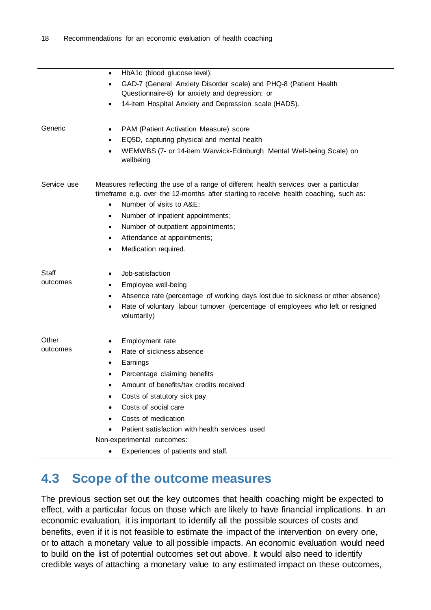|             | HbA1c (blood glucose level);<br>$\bullet$<br>GAD-7 (General Anxiety Disorder scale) and PHQ-8 (Patient Health<br>٠                                                                                                     |
|-------------|------------------------------------------------------------------------------------------------------------------------------------------------------------------------------------------------------------------------|
|             | Questionnaire-8) for anxiety and depression; or                                                                                                                                                                        |
|             | 14-item Hospital Anxiety and Depression scale (HADS).                                                                                                                                                                  |
| Generic     | PAM (Patient Activation Measure) score<br>٠                                                                                                                                                                            |
|             | EQ5D, capturing physical and mental health<br>$\bullet$                                                                                                                                                                |
|             | WEMWBS (7- or 14-item Warwick-Edinburgh Mental Well-being Scale) on<br>$\bullet$<br>wellbeing                                                                                                                          |
| Service use | Measures reflecting the use of a range of different health services over a particular<br>timeframe e.g. over the 12-months after starting to receive health coaching, such as:<br>Number of visits to A&E<br>$\bullet$ |
|             | Number of inpatient appointments;<br>٠                                                                                                                                                                                 |
|             | Number of outpatient appointments;<br>$\bullet$                                                                                                                                                                        |
|             | Attendance at appointments;<br>٠                                                                                                                                                                                       |
|             | Medication required.<br>$\bullet$                                                                                                                                                                                      |
| Staff       | Job-satisfaction<br>٠                                                                                                                                                                                                  |
| outcomes    | Employee well-being<br>$\bullet$                                                                                                                                                                                       |
|             | Absence rate (percentage of working days lost due to sickness or other absence)<br>٠                                                                                                                                   |
|             | Rate of voluntary labour turnover (percentage of employees who left or resigned<br>$\bullet$<br>voluntarily)                                                                                                           |
| Other       | Employment rate<br>٠                                                                                                                                                                                                   |
| outcomes    | Rate of sickness absence<br>$\bullet$                                                                                                                                                                                  |
|             | Earnings<br>٠                                                                                                                                                                                                          |
|             | Percentage claiming benefits                                                                                                                                                                                           |
|             | Amount of benefits/tax credits received                                                                                                                                                                                |
|             | Costs of statutory sick pay                                                                                                                                                                                            |
|             | Costs of social care                                                                                                                                                                                                   |
|             | Costs of medication                                                                                                                                                                                                    |
|             | Patient satisfaction with health services used                                                                                                                                                                         |
|             | Non-experimental outcomes:                                                                                                                                                                                             |
|             | Experiences of patients and staff.<br>$\bullet$                                                                                                                                                                        |

### <span id="page-21-0"></span>**4.3 Scope of the outcome measures**

The previous section set out the key outcomes that health coaching might be expected to effect, with a particular focus on those which are likely to have financial implications. In an economic evaluation, it is important to identify all the possible sources of costs and benefits, even if it is not feasible to estimate the impact of the intervention on every one, or to attach a monetary value to all possible impacts. An economic evaluation would need to build on the list of potential outcomes set out above. It would also need to identify credible ways of attaching a monetary value to any estimated impact on these outcomes,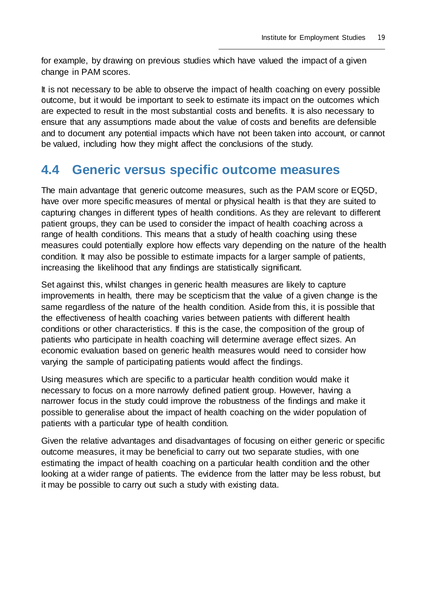for example, by drawing on previous studies which have valued the impact of a given change in PAM scores.

It is not necessary to be able to observe the impact of health coaching on every possible outcome, but it would be important to seek to estimate its impact on the outcomes which are expected to result in the most substantial costs and benefits. It is also necessary to ensure that any assumptions made about the value of costs and benefits are defensible and to document any potential impacts which have not been taken into account, or cannot be valued, including how they might affect the conclusions of the study.

### <span id="page-22-0"></span>**4.4 Generic versus specific outcome measures**

The main advantage that generic outcome measures, such as the PAM score or EQ5D, have over more specific measures of mental or physical health is that they are suited to capturing changes in different types of health conditions. As they are relevant to different patient groups, they can be used to consider the impact of health coaching across a range of health conditions. This means that a study of health coaching using these measures could potentially explore how effects vary depending on the nature of the health condition. It may also be possible to estimate impacts for a larger sample of patients, increasing the likelihood that any findings are statistically significant.

Set against this, whilst changes in generic health measures are likely to capture improvements in health, there may be scepticism that the value of a given change is the same regardless of the nature of the health condition. Aside from this, it is possible that the effectiveness of health coaching varies between patients with different health conditions or other characteristics. If this is the case, the composition of the group of patients who participate in health coaching will determine average effect sizes. An economic evaluation based on generic health measures would need to consider how varying the sample of participating patients would affect the findings.

Using measures which are specific to a particular health condition would make it necessary to focus on a more narrowly defined patient group. However, having a narrower focus in the study could improve the robustness of the findings and make it possible to generalise about the impact of health coaching on the wider population of patients with a particular type of health condition.

Given the relative advantages and disadvantages of focusing on either generic or specific outcome measures, it may be beneficial to carry out two separate studies, with one estimating the impact of health coaching on a particular health condition and the other looking at a wider range of patients. The evidence from the latter may be less robust, but it may be possible to carry out such a study with existing data.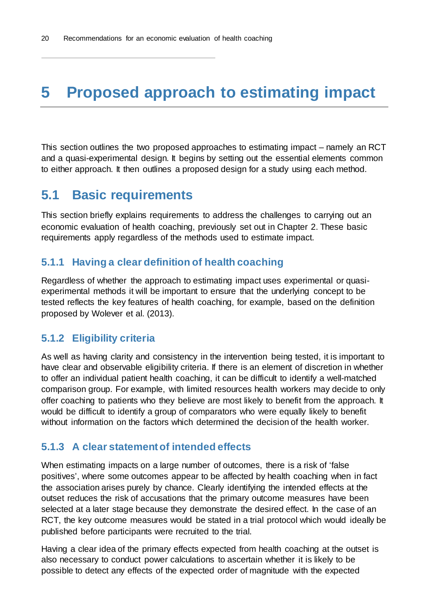## <span id="page-23-0"></span>**5 Proposed approach to estimating impact**

This section outlines the two proposed approaches to estimating impact – namely an RCT and a quasi-experimental design. It begins by setting out the essential elements common to either approach. It then outlines a proposed design for a study using each method.

### <span id="page-23-1"></span>**5.1 Basic requirements**

This section briefly explains requirements to address the challenges to carrying out an economic evaluation of health coaching, previously set out in Chapter [2.](#page-10-0) These basic requirements apply regardless of the methods used to estimate impact.

#### <span id="page-23-2"></span>**5.1.1 Having a clear definition of health coaching**

Regardless of whether the approach to estimating impact uses experimental or quasiexperimental methods it will be important to ensure that the underlying concept to be tested reflects the key features of health coaching, for example, based on the definition proposed by Wolever et al. (2013).

#### <span id="page-23-3"></span>**5.1.2 Eligibility criteria**

As well as having clarity and consistency in the intervention being tested, it is important to have clear and observable eligibility criteria. If there is an element of discretion in whether to offer an individual patient health coaching, it can be difficult to identify a well-matched comparison group. For example, with limited resources health workers may decide to only offer coaching to patients who they believe are most likely to benefit from the approach. It would be difficult to identify a group of comparators who were equally likely to benefit without information on the factors which determined the decision of the health worker.

#### <span id="page-23-4"></span>**5.1.3 A clear statement of intended effects**

When estimating impacts on a large number of outcomes, there is a risk of 'false positives', where some outcomes appear to be affected by health coaching when in fact the association arises purely by chance. Clearly identifying the intended effects at the outset reduces the risk of accusations that the primary outcome measures have been selected at a later stage because they demonstrate the desired effect. In the case of an RCT, the key outcome measures would be stated in a trial protocol which would ideally be published before participants were recruited to the trial.

Having a clear idea of the primary effects expected from health coaching at the outset is also necessary to conduct power calculations to ascertain whether it is likely to be possible to detect any effects of the expected order of magnitude with the expected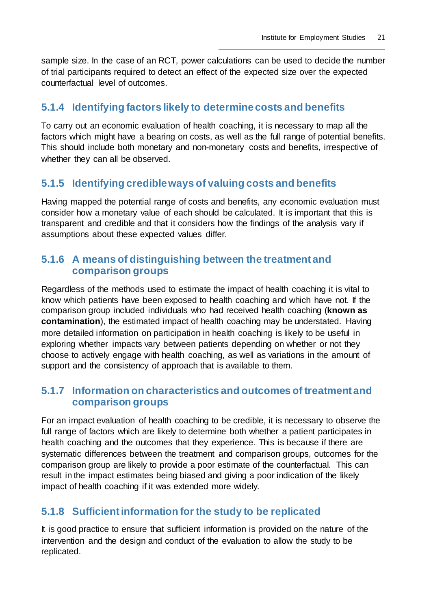sample size. In the case of an RCT, power calculations can be used to decide the number of trial participants required to detect an effect of the expected size over the expected counterfactual level of outcomes.

#### <span id="page-24-0"></span>**5.1.4 Identifying factors likely to determine costs and benefits**

To carry out an economic evaluation of health coaching, it is necessary to map all the factors which might have a bearing on costs, as well as the full range of potential benefits. This should include both monetary and non-monetary costs and benefits, irrespective of whether they can all be observed.

#### <span id="page-24-1"></span>**5.1.5 Identifying credible ways of valuing costs and benefits**

Having mapped the potential range of costs and benefits, any economic evaluation must consider how a monetary value of each should be calculated. It is important that this is transparent and credible and that it considers how the findings of the analysis vary if assumptions about these expected values differ.

#### <span id="page-24-2"></span>**5.1.6 A means of distinguishing between the treatment and comparison groups**

Regardless of the methods used to estimate the impact of health coaching it is vital to know which patients have been exposed to health coaching and which have not. If the comparison group included individuals who had received health coaching (**known as contamination**), the estimated impact of health coaching may be understated. Having more detailed information on participation in health coaching is likely to be useful in exploring whether impacts vary between patients depending on whether or not they choose to actively engage with health coaching, as well as variations in the amount of support and the consistency of approach that is available to them.

#### <span id="page-24-3"></span>**5.1.7 Information on characteristics and outcomes of treatment and comparison groups**

For an impact evaluation of health coaching to be credible, it is necessary to observe the full range of factors which are likely to determine both whether a patient participates in health coaching and the outcomes that they experience. This is because if there are systematic differences between the treatment and comparison groups, outcomes for the comparison group are likely to provide a poor estimate of the counterfactual. This can result in the impact estimates being biased and giving a poor indication of the likely impact of health coaching if it was extended more widely.

#### <span id="page-24-4"></span>**5.1.8 Sufficient information for the study to be replicated**

It is good practice to ensure that sufficient information is provided on the nature of the intervention and the design and conduct of the evaluation to allow the study to be replicated.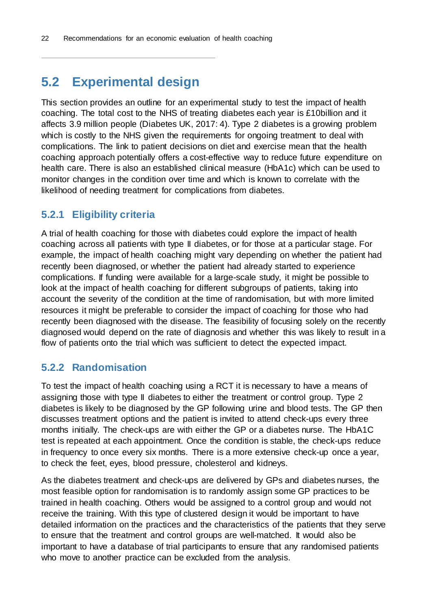### <span id="page-25-0"></span>**5.2 Experimental design**

This section provides an outline for an experimental study to test the impact of health coaching. The total cost to the NHS of treating diabetes each year is £10billion and it affects 3.9 million people (Diabetes UK, 2017: 4). Type 2 diabetes is a growing problem which is costly to the NHS given the requirements for ongoing treatment to deal with complications. The link to patient decisions on diet and exercise mean that the health coaching approach potentially offers a cost-effective way to reduce future expenditure on health care. There is also an established clinical measure (HbA1c) which can be used to monitor changes in the condition over time and which is known to correlate with the likelihood of needing treatment for complications from diabetes.

#### <span id="page-25-1"></span>**5.2.1 Eligibility criteria**

A trial of health coaching for those with diabetes could explore the impact of health coaching across all patients with type II diabetes, or for those at a particular stage. For example, the impact of health coaching might vary depending on whether the patient had recently been diagnosed, or whether the patient had already started to experience complications. If funding were available for a large-scale study, it might be possible to look at the impact of health coaching for different subgroups of patients, taking into account the severity of the condition at the time of randomisation, but with more limited resources it might be preferable to consider the impact of coaching for those who had recently been diagnosed with the disease. The feasibility of focusing solely on the recently diagnosed would depend on the rate of diagnosis and whether this was likely to result in a flow of patients onto the trial which was sufficient to detect the expected impact.

#### <span id="page-25-2"></span>**5.2.2 Randomisation**

To test the impact of health coaching using a RCT it is necessary to have a means of assigning those with type II diabetes to either the treatment or control group. Type 2 diabetes is likely to be diagnosed by the GP following urine and blood tests. The GP then discusses treatment options and the patient is invited to attend check-ups every three months initially. The check-ups are with either the GP or a diabetes nurse. The HbA1C test is repeated at each appointment. Once the condition is stable, the check-ups reduce in frequency to once every six months. There is a more extensive check-up once a year, to check the feet, eyes, blood pressure, cholesterol and kidneys.

As the diabetes treatment and check-ups are delivered by GPs and diabetes nurses, the most feasible option for randomisation is to randomly assign some GP practices to be trained in health coaching. Others would be assigned to a control group and would not receive the training. With this type of clustered design it would be important to have detailed information on the practices and the characteristics of the patients that they serve to ensure that the treatment and control groups are well-matched. It would also be important to have a database of trial participants to ensure that any randomised patients who move to another practice can be excluded from the analysis.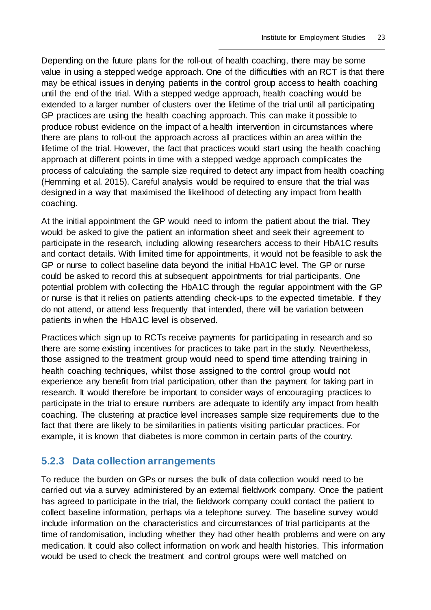Depending on the future plans for the roll-out of health coaching, there may be some value in using a stepped wedge approach. One of the difficulties with an RCT is that there may be ethical issues in denying patients in the control group access to health coaching until the end of the trial. With a stepped wedge approach, health coaching would be extended to a larger number of clusters over the lifetime of the trial until all participating GP practices are using the health coaching approach. This can make it possible to produce robust evidence on the impact of a health intervention in circumstances where there are plans to roll-out the approach across all practices within an area within the lifetime of the trial. However, the fact that practices would start using the health coaching approach at different points in time with a stepped wedge approach complicates the process of calculating the sample size required to detect any impact from health coaching (Hemming et al. 2015). Careful analysis would be required to ensure that the trial was designed in a way that maximised the likelihood of detecting any impact from health coaching.

At the initial appointment the GP would need to inform the patient about the trial. They would be asked to give the patient an information sheet and seek their agreement to participate in the research, including allowing researchers access to their HbA1C results and contact details. With limited time for appointments, it would not be feasible to ask the GP or nurse to collect baseline data beyond the initial HbA1C level. The GP or nurse could be asked to record this at subsequent appointments for trial participants. One potential problem with collecting the HbA1C through the regular appointment with the GP or nurse is that it relies on patients attending check-ups to the expected timetable. If they do not attend, or attend less frequently that intended, there will be variation between patients in when the HbA1C level is observed.

Practices which sign up to RCTs receive payments for participating in research and so there are some existing incentives for practices to take part in the study. Nevertheless, those assigned to the treatment group would need to spend time attending training in health coaching techniques, whilst those assigned to the control group would not experience any benefit from trial participation, other than the payment for taking part in research. It would therefore be important to consider ways of encouraging practices to participate in the trial to ensure numbers are adequate to identify any impact from health coaching. The clustering at practice level increases sample size requirements due to the fact that there are likely to be similarities in patients visiting particular practices. For example, it is known that diabetes is more common in certain parts of the country.

#### <span id="page-26-0"></span>**5.2.3 Data collection arrangements**

To reduce the burden on GPs or nurses the bulk of data collection would need to be carried out via a survey administered by an external fieldwork company. Once the patient has agreed to participate in the trial, the fieldwork company could contact the patient to collect baseline information, perhaps via a telephone survey. The baseline survey would include information on the characteristics and circumstances of trial participants at the time of randomisation, including whether they had other health problems and were on any medication. It could also collect information on work and health histories. This information would be used to check the treatment and control groups were well matched on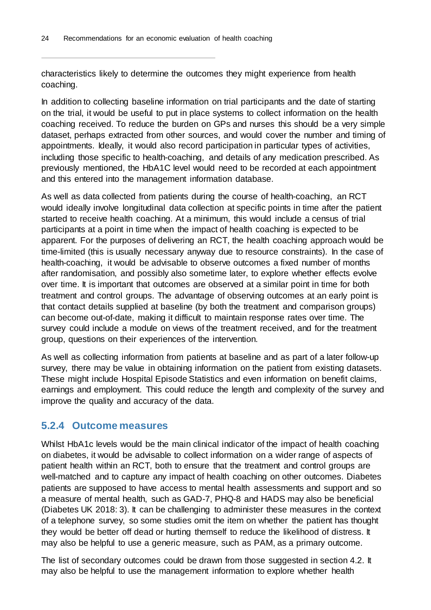characteristics likely to determine the outcomes they might experience from health coaching.

In addition to collecting baseline information on trial participants and the date of starting on the trial, it would be useful to put in place systems to collect information on the health coaching received. To reduce the burden on GPs and nurses this should be a very simple dataset, perhaps extracted from other sources, and would cover the number and timing of appointments. Ideally, it would also record participation in particular types of activities, including those specific to health-coaching, and details of any medication prescribed. As previously mentioned, the HbA1C level would need to be recorded at each appointment and this entered into the management information database.

As well as data collected from patients during the course of health-coaching, an RCT would ideally involve longitudinal data collection at specific points in time after the patient started to receive health coaching. At a minimum, this would include a census of trial participants at a point in time when the impact of health coaching is expected to be apparent. For the purposes of delivering an RCT, the health coaching approach would be time-limited (this is usually necessary anyway due to resource constraints). In the case of health-coaching, it would be advisable to observe outcomes a fixed number of months after randomisation, and possibly also sometime later, to explore whether effects evolve over time. It is important that outcomes are observed at a similar point in time for both treatment and control groups. The advantage of observing outcomes at an early point is that contact details supplied at baseline (by both the treatment and comparison groups) can become out-of-date, making it difficult to maintain response rates over time. The survey could include a module on views of the treatment received, and for the treatment group, questions on their experiences of the intervention.

As well as collecting information from patients at baseline and as part of a later follow-up survey, there may be value in obtaining information on the patient from existing datasets. These might include Hospital Episode Statistics and even information on benefit claims, earnings and employment. This could reduce the length and complexity of the survey and improve the quality and accuracy of the data.

#### <span id="page-27-0"></span>**5.2.4 Outcome measures**

Whilst HbA1c levels would be the main clinical indicator of the impact of health coaching on diabetes, it would be advisable to collect information on a wider range of aspects of patient health within an RCT, both to ensure that the treatment and control groups are well-matched and to capture any impact of health coaching on other outcomes. Diabetes patients are supposed to have access to mental health assessments and support and so a measure of mental health, such as GAD-7, PHQ-8 and HADS may also be beneficial (Diabetes UK 2018: 3). It can be challenging to administer these measures in the context of a telephone survey, so some studies omit the item on whether the patient has thought they would be better off dead or hurting themself to reduce the likelihood of distress. It may also be helpful to use a generic measure, such as PAM, as a primary outcome.

The list of secondary outcomes could be drawn from those suggested in section [4.2.](#page-18-0) It may also be helpful to use the management information to explore whether health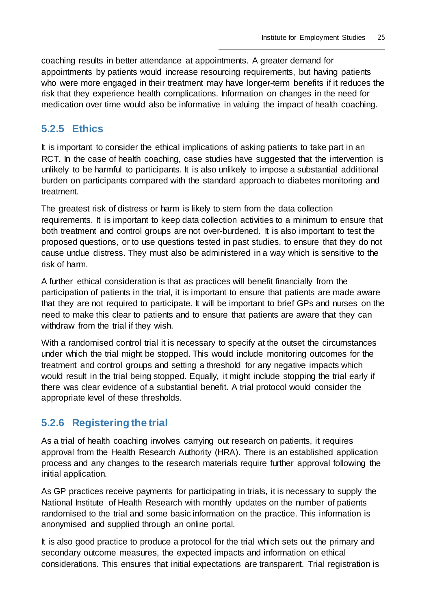coaching results in better attendance at appointments. A greater demand for appointments by patients would increase resourcing requirements, but having patients who were more engaged in their treatment may have longer-term benefits if it reduces the risk that they experience health complications. Information on changes in the need for medication over time would also be informative in valuing the impact of health coaching.

#### <span id="page-28-0"></span>**5.2.5 Ethics**

It is important to consider the ethical implications of asking patients to take part in an RCT. In the case of health coaching, case studies have suggested that the intervention is unlikely to be harmful to participants. It is also unlikely to impose a substantial additional burden on participants compared with the standard approach to diabetes monitoring and treatment.

The greatest risk of distress or harm is likely to stem from the data collection requirements. It is important to keep data collection activities to a minimum to ensure that both treatment and control groups are not over-burdened. It is also important to test the proposed questions, or to use questions tested in past studies, to ensure that they do not cause undue distress. They must also be administered in a way which is sensitive to the risk of harm.

A further ethical consideration is that as practices will benefit financially from the participation of patients in the trial, it is important to ensure that patients are made aware that they are not required to participate. It will be important to brief GPs and nurses on the need to make this clear to patients and to ensure that patients are aware that they can withdraw from the trial if they wish.

With a randomised control trial it is necessary to specify at the outset the circumstances under which the trial might be stopped. This would include monitoring outcomes for the treatment and control groups and setting a threshold for any negative impacts which would result in the trial being stopped. Equally, it might include stopping the trial early if there was clear evidence of a substantial benefit. A trial protocol would consider the appropriate level of these thresholds.

#### <span id="page-28-1"></span>**5.2.6 Registering the trial**

As a trial of health coaching involves carrying out research on patients, it requires approval from the Health Research Authority (HRA). There is an established application process and any changes to the research materials require further approval following the initial application.

As GP practices receive payments for participating in trials, it is necessary to supply the National Institute of Health Research with monthly updates on the number of patients randomised to the trial and some basic information on the practice. This information is anonymised and supplied through an online portal.

It is also good practice to produce a protocol for the trial which sets out the primary and secondary outcome measures, the expected impacts and information on ethical considerations. This ensures that initial expectations are transparent. Trial registration is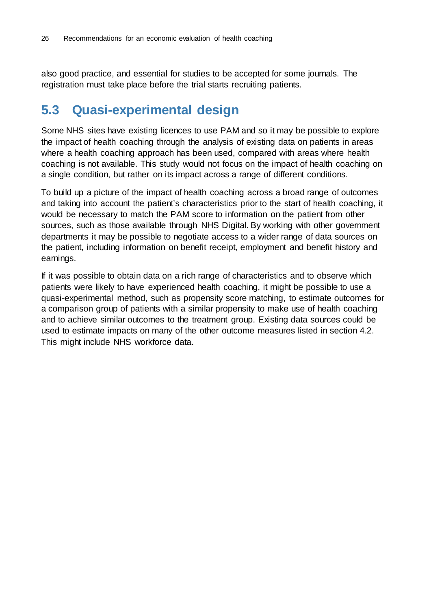also good practice, and essential for studies to be accepted for some journals. The registration must take place before the trial starts recruiting patients.

### <span id="page-29-0"></span>**5.3 Quasi-experimental design**

Some NHS sites have existing licences to use PAM and so it may be possible to explore the impact of health coaching through the analysis of existing data on patients in areas where a health coaching approach has been used, compared with areas where health coaching is not available. This study would not focus on the impact of health coaching on a single condition, but rather on its impact across a range of different conditions.

To build up a picture of the impact of health coaching across a broad range of outcomes and taking into account the patient's characteristics prior to the start of health coaching, it would be necessary to match the PAM score to information on the patient from other sources, such as those available through NHS Digital. By working with other government departments it may be possible to negotiate access to a wider range of data sources on the patient, including information on benefit receipt, employment and benefit history and earnings.

If it was possible to obtain data on a rich range of characteristics and to observe which patients were likely to have experienced health coaching, it might be possible to use a quasi-experimental method, such as propensity score matching, to estimate outcomes for a comparison group of patients with a similar propensity to make use of health coaching and to achieve similar outcomes to the treatment group. Existing data sources could be used to estimate impacts on many of the other outcome measures listed in section [4.2.](#page-18-0) This might include NHS workforce data.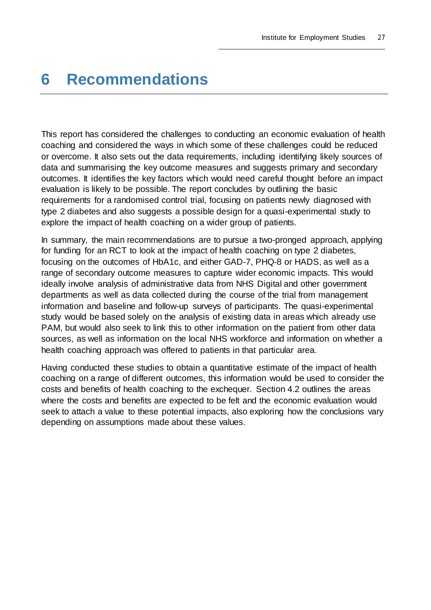## <span id="page-30-0"></span>**6 Recommendations**

This report has considered the challenges to conducting an economic evaluation of health coaching and considered the ways in which some of these challenges could be reduced or overcome. It also sets out the data requirements, including identifying likely sources of data and summarising the key outcome measures and suggests primary and secondary outcomes. It identifies the key factors which would need careful thought before an impact evaluation is likely to be possible. The report concludes by outlining the basic requirements for a randomised control trial, focusing on patients newly diagnosed with type 2 diabetes and also suggests a possible design for a quasi-experimental study to explore the impact of health coaching on a wider group of patients.

In summary, the main recommendations are to pursue a two-pronged approach, applying for funding for an RCT to look at the impact of health coaching on type 2 diabetes, focusing on the outcomes of HbA1c, and either GAD-7, PHQ-8 or HADS, as well as a range of secondary outcome measures to capture wider economic impacts. This would ideally involve analysis of administrative data from NHS Digital and other government departments as well as data collected during the course of the trial from management information and baseline and follow-up surveys of participants. The quasi-experimental study would be based solely on the analysis of existing data in areas which already use PAM, but would also seek to link this to other information on the patient from other data sources, as well as information on the local NHS workforce and information on whether a health coaching approach was offered to patients in that particular area.

Having conducted these studies to obtain a quantitative estimate of the impact of health coaching on a range of different outcomes, this information would be used to consider the costs and benefits of health coaching to the exchequer. Section 4.2 outlines the areas where the costs and benefits are expected to be felt and the economic evaluation would seek to attach a value to these potential impacts, also exploring how the conclusions vary depending on assumptions made about these values.